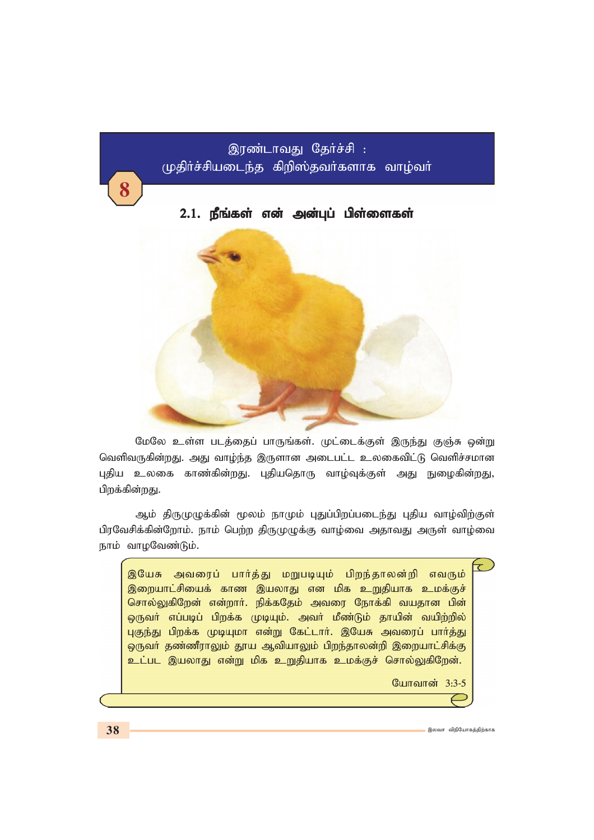# இரண்டாவது தேர்ச்சி : முதிாச்சியடைந்த கிறிஸ்தவா்களாக வாழ்வா்

### 2.1. நீங்கள் என் அன்புப் பிள்ளைகள்



மேலே உள்ள படத்தைப் பாருங்கள். முட்டைக்குள் இருந்து குஞ்சு ஒன்று வெளிவருகின்றது. அது வாழ்ந்த இருளான அடைபட்ட உலகைவிட்டு வெளிச்சமான புதிய உலகை காண்கின்றது. புதியதொரு வாழ்வுக்குள் அது நுழைகின்றது, பிறக்கின்றது.

ஆம் திருமுழுக்கின் மூலம் நாமும் புதுப்பிறப்படைந்து புதிய வாழ்விற்குள் பிரவேசிக்கின்றோம். நாம் பெற்ற திருமுழுக்கு வாழ்வை அதாவது அருள் வாழ்வை நாம் வாமவேண்டும்.

 $\mathcal{L}$ இயேசு அவரைப் பார்த்து மறுபடியும் பிறந்தாலன்றி எவரும் இறையாட்சியைக் காண இயலாது என மிக உறுதியாக உமக்குச் சொல்லுகிறேன் என்றார். நிக்கதேம் அவரை நோக்கி வயதான பின் ஒருவா் எப்படிப் பிறக்க முடியும். அவா் மீண்டும் தாயின் வயிற்றில் புகுந்து பிறக்க முடியுமா என்று கேட்டார். இயேசு அவரைப் பார்த்து ஒருவர் தண்ணீராலும் தூய ஆவியாலும் பிறந்தாலன்றி இறையாட்சிக்கு உட்பட இயலாது என்று மிக உறுதியாக உமக்குச் சொல்லுகிறேன்.

போவான் 3:3-5

8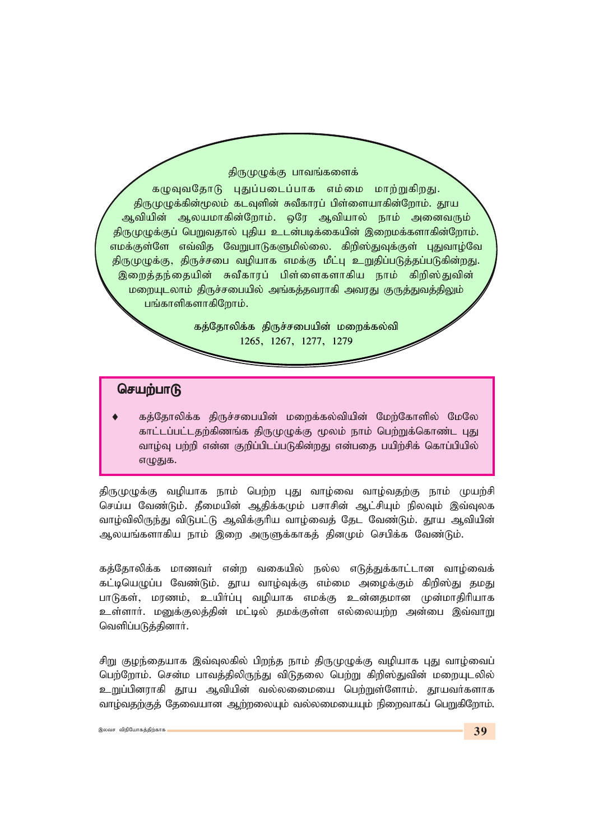#### திருமுழுக்கு பாவங்களைக்

கழுவுவதோடு புதுப்படைப்பாக எம்மை மாற்றுகிறது. திருமுழுக்கின்மூலம் கடவுளின் சுவீகாரப் பிள்ளையாகின்றோம். தூய ஆவியின் ஆலயமாகின்றோம். ஒரே ஆவியால் நாம் அனைவரும் திருமுழுக்குப் பெறுவதால் புதிய உடன்படிக்கையின் இறைமக்களாகின்றோம். எமக்குள்ளே எவ்வித வேறுபாடுகளுமில்லை. கிறிஸ்துவுக்குள் புதுவாழ்வே திருமுழுக்கு, திருச்சபை வழியாக எமக்கு மீட்பு உறுதிப்படுத்தப்படுகின்றது. இறைத்தந்தையின் சுவீகாரப் பிள்ளைகளாகிய நாம் கிறிஸ்துவின் மறையுடலாம் திருச்சபையில் அங்கத்தவராகி அவரது குருத்துவத்திலும் பங்காளிகளாகிறோம்.

> கத்தோலிக்க திருச்சபையின் மறைக்கல்வி 1265, 1267, 1277, 1279

#### செயற்பாடு

கத்தோலிக்க திருச்சபையின் மறைக்கல்வியின் மேற்கோளில் மேலே காட்டப்பட்டதற்கிணங்க திருமுழுக்கு மூலம் நாம் பெற்றுக்கொண்ட புது வாழ்வு பற்றி என்ன குறிப்பிடப்படுகின்றது என்பதை பயிற்சிக் கொப்பியில் எழுதுக.

திருமுழுக்கு வழியாக நாம் பெற்ற புது வாழ்வை வாழ்வதற்கு நாம் முயற்சி செய்ய வேண்டும். தீமையின் ஆதிக்கமும் பசாசின் ஆட்சியும் நிலவும் இவ்வுலக வாழ்விலிருந்து விடுபட்டு ஆவிக்குரிய வாழ்வைத் தேட வேண்டும். தூய ஆவியின் ஆலயங்களாகிய நாம் இறை அருளுக்காகத் தினமும் செபிக்க வேண்டும்.

கத்தோலிக்க மாணவர் என்ற வகையில் நல்ல எடுத்துக்காட்டான வாழ்வைக் கட்டியெழுப்ப வேண்டும். தூய வாழ்வுக்கு எம்மை அழைக்கும் கிறிஸ்து தமது பாடுகள், மரணம், உயிர்ப்பு வழியாக எமக்கு உன்னதமான முன்மாதிரியாக உள்ளார். மனுக்குலத்தின் மட்டில் தமக்குள்ள எல்லையற்ற அன்பை இவ்வாறு வெளிப்படுத்தினார்.

சிறு குழந்தையாக இவ்வுலகில் பிறந்த நாம் திருமுழுக்கு வழியாக புது வாழ்வைப் பெற்றோம். சென்ம பாவத்திலிருந்து விடுதலை பெற்று கிறிஸ்துவின் மறையுடலில் உறுப்பினராகி தூய ஆவியின் வல்லலைமயை பெற்றுள்ளோம். தூயவர்களாக வாழ்வதற்குத் தேவையான ஆற்றலையும் வல்லமையையும் நிறைவாகப் பெறுகிறோம்.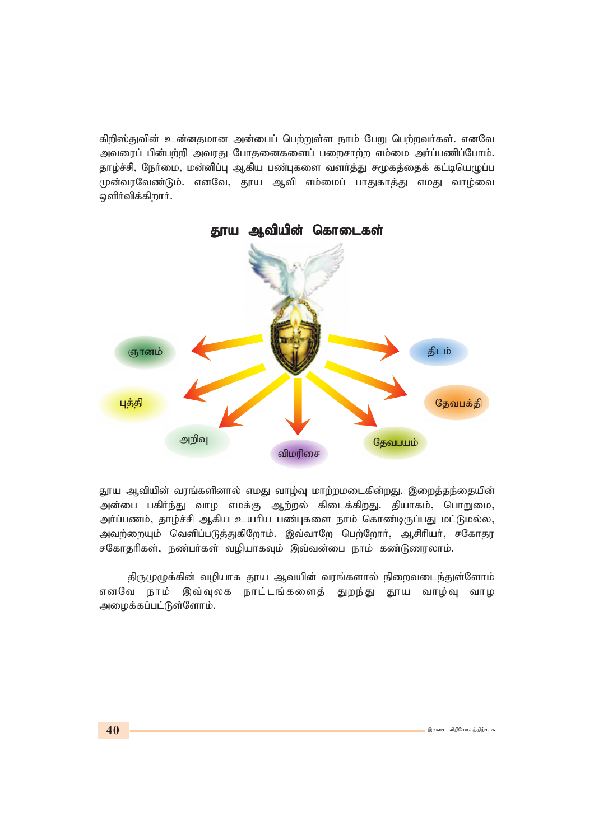கிறிஸ்துவின் உன்னதமான அன்பைப் பெற்றுள்ள நாம் பேறு பெற்றவர்கள். எனவே அவரைப் பின்பற்றி அவரது போதனைகளைப் பறைசாற்ற எம்மை அர்ப்பணிப்போம். தாழ்ச்சி, நோ்மை, மன்னிப்பு ஆகிய பண்புகளை வளா்த்து சமூகத்தைக் கட்டியெழுப்ப முன்வரவேண்டும். எனவே, தூய ஆவி எம்மைப் பாதுகாத்து எமது வாழ்வை ஒளிர்விக்கிறார்.



தூய ஆவியின் வரங்களினால் எமது வாழ்வு மாற்றமடைகின்றது. இறைத்தந்தையின் அன்பை பகிர்ந்து வாழ எமக்கு ஆற்றல் கிடைக்கிறது. தியாகம், பொறுமை, அர்ப்பணம், தாழ்ச்சி ஆகிய உயரிய பண்புகளை நாம் கொண்டிருப்பது மட்டுமல்ல, அவற்றையும் வெளிப்படுத்துகிறோம். இவ்வாறே பெற்றோர், ஆசிரியர், சகோதர சகோதரிகள், நண்பர்கள் வழியாகவும் இவ்வன்பை நாம் கண்டுணரலாம்.

திருமுழுக்கின் வழியாக தூய ஆவயின் வரங்களால் நிறைவடைந்துள்ளோம் எனவே நாம் இவ்வுலக நாட்டங்களைத் துறந்து தூய வாழ்வு வாழ அழைக்கப்பட்டுள்ளோம்.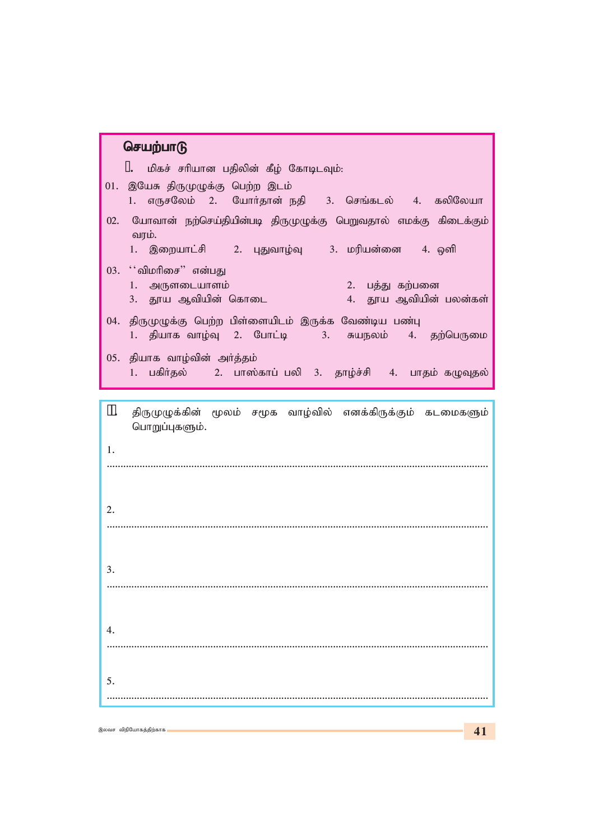| செயற்பாடு                                                                                                                            |
|--------------------------------------------------------------------------------------------------------------------------------------|
| 1. மிகச் சரியான பதிலின் கீழ் கோடிடவும்:                                                                                              |
| 01. இயேசு திருமுழுக்கு பெற்ற இடம்<br>1. எருசலேம் 2. யோர்தான் நதி 3. செங்கடல் 4. கலிலேயா                                              |
| 02. யோவான் நற்செய்தியின்படி திருமுழுக்கு பெறுவதால் எமக்கு கிடைக்கும்<br>வரம்.<br>1. இறையாட்சி   2. புதுவாழ்வு   3. மரியன்னை   4. ஒளி |
| 03. ''விமரிசை" என்பது<br>1. அருளடையாளம்<br>2. பத்து கற்பனை<br>4. தூய ஆவியின் பலன்கள்<br>3. தூய ஆவியின் கொடை                          |
| 04. திருமுழுக்கு பெற்ற பிள்ளையிடம் இருக்க வேண்டிய பண்பு<br>1. தியாக வாழ்வு 2. போட்டி   3. சுயநலம் 4. தற்பெருமை                       |
| 05. தியாக வாழ்வின் அா்த்தம்<br>1. பகிர்தல் 2. பாஸ்காப் பலி 3. தாழ்ச்சி 4. பாதம் கழுவுதல்                                             |
|                                                                                                                                      |
| П.<br>திருமுழுக்கின் மூலம் சமூக வாழ்வில் எனக்கிருக்கும் கடமைகளும்<br>பொறுப்புகளும்.                                                  |
| 1.                                                                                                                                   |
|                                                                                                                                      |
| 2.                                                                                                                                   |
|                                                                                                                                      |
| 3.                                                                                                                                   |
|                                                                                                                                      |
| 4.                                                                                                                                   |
|                                                                                                                                      |
| 5.                                                                                                                                   |
|                                                                                                                                      |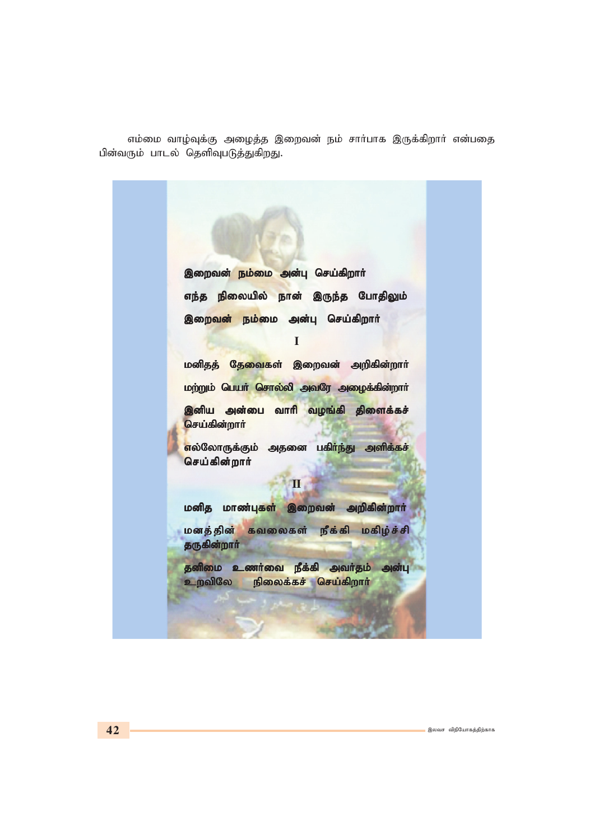எம்மை வாழ்வுக்கு அழைத்த இறைவன் நம் சார்பாக இருக்கிறார் என்பதை பின்வரும் பாடல் தெளிவுபடுத்துகிறது.

இறைவன<mark>் நம்மை அ</mark>ன்பு செய்கிறார் எந்த நிலையில் நான் இருந்த போதிலும் **இறைவன் நம்மை அன்பு செய்கிறா**ர் **I** மனிதத் தேவைகள் இறைவன் அறிகின்றா**ா் மற்றும் பெயர் சொல்லி அவரே அழைக்கின்றார்** <mark>இனிய அன்பை வாரி வழங்கி திளைக்கச்</mark> <mark>செய்கின்றார்</mark> <mark>எ</mark>ல்லோருக்கும் அதனை பகி<mark>ா்ந்து அளிக்கச்</mark> **செய்கின்றார் II** மனித மாண்புகள் இறைவன் அறிகின்றார் **மனத்தின் கவலைகள் நீக்கி மகிழ்ச்சி** தருகின்றார் ்தனிமை உணர்வை நீக்கி அவர்தம் அன்பு  $\underline{\bullet}$ .<br><u>p</u>விலே நிலைக்கச் செய்கிறார்